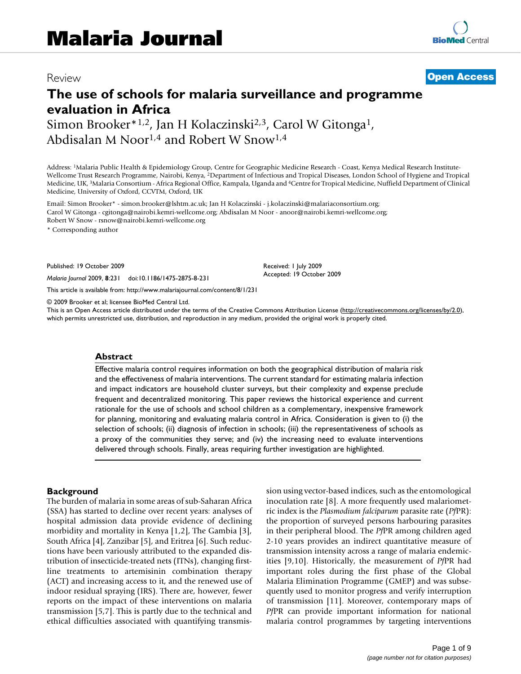## Review **[Open Access](http://www.biomedcentral.com/info/about/charter/)**

# **The use of schools for malaria surveillance and programme evaluation in Africa** Simon Brooker<sup>\*1,2</sup>, Jan H Kolaczinski<sup>2,3</sup>, Carol W Gitonga<sup>1</sup>,

Abdisalan M Noor1,4 and Robert W Snow1,4

Address: 1Malaria Public Health & Epidemiology Group, Centre for Geographic Medicine Research - Coast, Kenya Medical Research Institute-Wellcome Trust Research Programme, Nairobi, Kenya, 2Department of Infectious and Tropical Diseases, London School of Hygiene and Tropical Medicine, UK, 3Malaria Consortium - Africa Regional Office, Kampala, Uganda and 4Centre for Tropical Medicine, Nuffield Department of Clinical Medicine, University of Oxford, CCVTM, Oxford, UK

Email: Simon Brooker\* - simon.brooker@lshtm.ac.uk; Jan H Kolaczinski - j.kolaczinski@malariaconsortium.org; Carol W Gitonga - cgitonga@nairobi.kemri-wellcome.org; Abdisalan M Noor - anoor@nairobi.kemri-wellcome.org; Robert W Snow - rsnow@nairobi.kemri-wellcome.org

\* Corresponding author

Published: 19 October 2009

*Malaria Journal* 2009, **8**:231 doi:10.1186/1475-2875-8-231

[This article is available from: http://www.malariajournal.com/content/8/1/231](http://www.malariajournal.com/content/8/1/231)

© 2009 Brooker et al; licensee BioMed Central Ltd.

This is an Open Access article distributed under the terms of the Creative Commons Attribution License [\(http://creativecommons.org/licenses/by/2.0\)](http://creativecommons.org/licenses/by/2.0), which permits unrestricted use, distribution, and reproduction in any medium, provided the original work is properly cited.

Received: 1 July 2009 Accepted: 19 October 2009

#### **Abstract**

Effective malaria control requires information on both the geographical distribution of malaria risk and the effectiveness of malaria interventions. The current standard for estimating malaria infection and impact indicators are household cluster surveys, but their complexity and expense preclude frequent and decentralized monitoring. This paper reviews the historical experience and current rationale for the use of schools and school children as a complementary, inexpensive framework for planning, monitoring and evaluating malaria control in Africa. Consideration is given to (i) the selection of schools; (ii) diagnosis of infection in schools; (iii) the representativeness of schools as a proxy of the communities they serve; and (iv) the increasing need to evaluate interventions delivered through schools. Finally, areas requiring further investigation are highlighted.

#### **Background**

The burden of malaria in some areas of sub-Saharan Africa (SSA) has started to decline over recent years: analyses of hospital admission data provide evidence of declining morbidity and mortality in Kenya [1,2], The Gambia [3], South Africa [4], Zanzibar [5], and Eritrea [6]. Such reductions have been variously attributed to the expanded distribution of insecticide-treated nets (ITNs), changing firstline treatments to artemisinin combination therapy (ACT) and increasing access to it, and the renewed use of indoor residual spraying (IRS). There are, however, fewer reports on the impact of these interventions on malaria transmission [5,7]. This is partly due to the technical and ethical difficulties associated with quantifying transmission using vector-based indices, such as the entomological inoculation rate [8]. A more frequently used malariometric index is the *Plasmodium falciparum* parasite rate (*Pf*PR): the proportion of surveyed persons harbouring parasites in their peripheral blood. The *Pf*PR among children aged 2-10 years provides an indirect quantitative measure of transmission intensity across a range of malaria endemicities [9,10]. Historically, the measurement of *Pf*PR had important roles during the first phase of the Global Malaria Elimination Programme (GMEP) and was subsequently used to monitor progress and verify interruption of transmission [11]. Moreover, contemporary maps of *Pf*PR can provide important information for national malaria control programmes by targeting interventions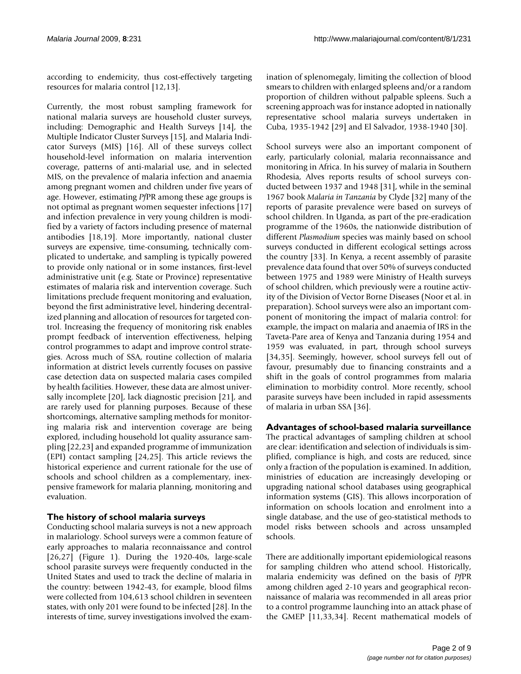according to endemicity, thus cost-effectively targeting resources for malaria control [12,13].

Currently, the most robust sampling framework for national malaria surveys are household cluster surveys, including: Demographic and Health Surveys [14], the Multiple Indicator Cluster Surveys [15], and Malaria Indicator Surveys (MIS) [16]. All of these surveys collect household-level information on malaria intervention coverage, patterns of anti-malarial use, and in selected MIS, on the prevalence of malaria infection and anaemia among pregnant women and children under five years of age. However, estimating *Pf*PR among these age groups is not optimal as pregnant women sequester infections [17] and infection prevalence in very young children is modified by a variety of factors including presence of maternal antibodies [18,19]. More importantly, national cluster surveys are expensive, time-consuming, technically complicated to undertake, and sampling is typically powered to provide only national or in some instances, first-level administrative unit (e.g. State or Province) representative estimates of malaria risk and intervention coverage. Such limitations preclude frequent monitoring and evaluation, beyond the first administrative level, hindering decentralized planning and allocation of resources for targeted control. Increasing the frequency of monitoring risk enables prompt feedback of intervention effectiveness, helping control programmes to adapt and improve control strategies. Across much of SSA, routine collection of malaria information at district levels currently focuses on passive case detection data on suspected malaria cases compiled by health facilities. However, these data are almost universally incomplete [20], lack diagnostic precision [21], and are rarely used for planning purposes. Because of these shortcomings, alternative sampling methods for monitoring malaria risk and intervention coverage are being explored, including household lot quality assurance sampling [22,23] and expanded programme of immunization (EPI) contact sampling [24,25]. This article reviews the historical experience and current rationale for the use of schools and school children as a complementary, inexpensive framework for malaria planning, monitoring and evaluation.

## **The history of school malaria surveys**

Conducting school malaria surveys is not a new approach in malariology. School surveys were a common feature of early approaches to malaria reconnaissance and control [26,27] (Figure 1). During the 1920-40s, large-scale school parasite surveys were frequently conducted in the United States and used to track the decline of malaria in the country: between 1942-43, for example, blood films were collected from 104,613 school children in seventeen states, with only 201 were found to be infected [28]. In the interests of time, survey investigations involved the examination of splenomegaly, limiting the collection of blood smears to children with enlarged spleens and/or a random proportion of children without palpable spleens. Such a screening approach was for instance adopted in nationally representative school malaria surveys undertaken in Cuba, 1935-1942 [29] and El Salvador, 1938-1940 [30].

School surveys were also an important component of early, particularly colonial, malaria reconnaissance and monitoring in Africa. In his survey of malaria in Southern Rhodesia, Alves reports results of school surveys conducted between 1937 and 1948 [31], while in the seminal 1967 book *Malaria in Tanzania* by Clyde [32] many of the reports of parasite prevalence were based on surveys of school children. In Uganda, as part of the pre-eradication programme of the 1960s, the nationwide distribution of different *Plasmodium* species was mainly based on school surveys conducted in different ecological settings across the country [33]. In Kenya, a recent assembly of parasite prevalence data found that over 50% of surveys conducted between 1975 and 1989 were Ministry of Health surveys of school children, which previously were a routine activity of the Division of Vector Borne Diseases (Noor et al. in preparation). School surveys were also an important component of monitoring the impact of malaria control: for example, the impact on malaria and anaemia of IRS in the Taveta-Pare area of Kenya and Tanzania during 1954 and 1959 was evaluated, in part, through school surveys [34,35]. Seemingly, however, school surveys fell out of favour, presumably due to financing constraints and a shift in the goals of control programmes from malaria elimination to morbidity control. More recently, school parasite surveys have been included in rapid assessments of malaria in urban SSA [36].

**Advantages of school-based malaria surveillance** The practical advantages of sampling children at school are clear: identification and selection of individuals is simplified, compliance is high, and costs are reduced, since only a fraction of the population is examined. In addition, ministries of education are increasingly developing or upgrading national school databases using geographical information systems (GIS). This allows incorporation of information on schools location and enrolment into a single database, and the use of geo-statistical methods to model risks between schools and across unsampled schools.

There are additionally important epidemiological reasons for sampling children who attend school. Historically, malaria endemicity was defined on the basis of *Pf*PR among children aged 2-10 years and geographical reconnaissance of malaria was recommended in all areas prior to a control programme launching into an attack phase of the GMEP [11,33,34]. Recent mathematical models of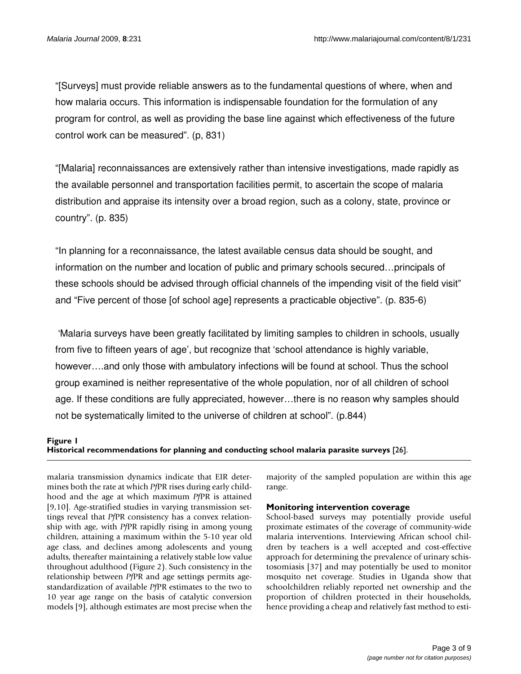"[Surveys] must provide reliable answers as to the fundamental questions of where, when and how malaria occurs. This information is indispensable foundation for the formulation of any program for control, as well as providing the base line against which effectiveness of the future control work can be measured". (p, 831)

"[Malaria] reconnaissances are extensively rather than intensive investigations, made rapidly as the available personnel and transportation facilities permit, to ascertain the scope of malaria distribution and appraise its intensity over a broad region, such as a colony, state, province or country". (p. 835)

"In planning for a reconnaissance, the latest available census data should be sought, and information on the number and location of public and primary schools secured…principals of these schools should be advised through official channels of the impending visit of the field visit" and "Five percent of those [of school age] represents a practicable objective". (p. 835-6)

'Malaria surveys have been greatly facilitated by limiting samples to children in schools, usually from five to fifteen years of age', but recognize that 'school attendance is highly variable, however….and only those with ambulatory infections will be found at school. Thus the school group examined is neither representative of the whole population, nor of all children of school age. If these conditions are fully appreciated, however…there is no reason why samples should not be systematically limited to the universe of children at school". (p.844)

## Historical recommendatio **Figure 1** ns for planning and conducting school malaria parasite surveys [26] **Historical recommendations for planning and conducting school malaria parasite surveys** [26].

malaria transmission dynamics indicate that EIR determines both the rate at which *Pf*PR rises during early childhood and the age at which maximum *Pf*PR is attained [9,10]. Age-stratified studies in varying transmission settings reveal that *Pf*PR consistency has a convex relationship with age, with *Pf*PR rapidly rising in among young children, attaining a maximum within the 5-10 year old age class, and declines among adolescents and young adults, thereafter maintaining a relatively stable low value throughout adulthood (Figure 2). Such consistency in the relationship between *Pf*PR and age settings permits agestandardization of available *Pf*PR estimates to the two to 10 year age range on the basis of catalytic conversion models [9], although estimates are most precise when the

majority of the sampled population are within this age range.

## **Monitoring intervention coverage**

School-based surveys may potentially provide useful proximate estimates of the coverage of community-wide malaria interventions. Interviewing African school children by teachers is a well accepted and cost-effective approach for determining the prevalence of urinary schistosomiasis [37] and may potentially be used to monitor mosquito net coverage. Studies in Uganda show that schoolchildren reliably reported net ownership and the proportion of children protected in their households, hence providing a cheap and relatively fast method to esti-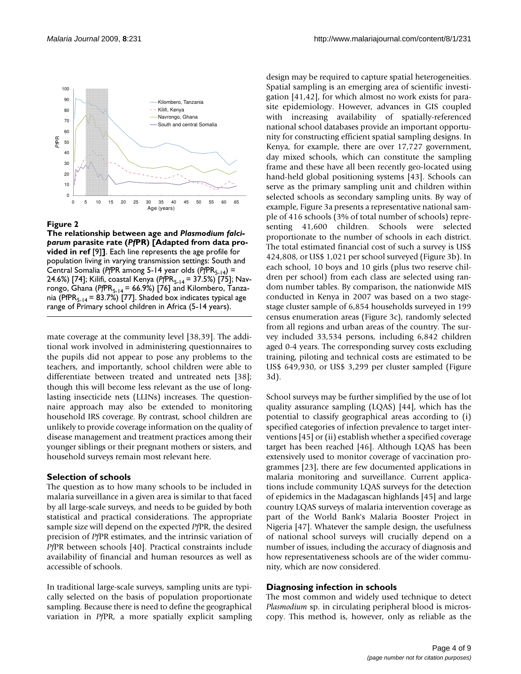

#### The relationship between age and asite rate ( **Figure 2** *Pf*PR) [Adapted from data provided in ref [9]] *Plasmodium falciparum* par-

**The relationship between age and** *Plasmodium falciparum* **parasite rate (***Pf***PR) [Adapted from data provided in ref** [9]**]**. Each line represents the age profile for population living in varying transmission settings: South and Central Somalia (*PfPR* among 5-14 year olds (*PfPR*<sub>5-14</sub>) = 24.6%) [74]; Kilifi, coastal Kenya (PfPR<sub>5-14</sub> = 37.5%) [75]; Navrongo, Ghana (PfPR<sub>5-14</sub> = 66.9%) [76] and Kilombero, Tanzania (PfPR $_{5-14}$  = 83.7%) [77]. Shaded box indicates typical age range of Primary school children in Africa (5-14 years).

mate coverage at the community level [38,39]. The additional work involved in administering questionnaires to the pupils did not appear to pose any problems to the teachers, and importantly, school children were able to differentiate between treated and untreated nets [38]; though this will become less relevant as the use of longlasting insecticide nets (LLINs) increases. The questionnaire approach may also be extended to monitoring household IRS coverage. By contrast, school children are unlikely to provide coverage information on the quality of disease management and treatment practices among their younger siblings or their pregnant mothers or sisters, and household surveys remain most relevant here.

#### **Selection of schools**

The question as to how many schools to be included in malaria surveillance in a given area is similar to that faced by all large-scale surveys, and needs to be guided by both statistical and practical considerations. The appropriate sample size will depend on the expected *Pf*PR, the desired precision of *Pf*PR estimates, and the intrinsic variation of *Pf*PR between schools [40]. Practical constraints include availability of financial and human resources as well as accessible of schools.

In traditional large-scale surveys, sampling units are typically selected on the basis of population proportionate sampling. Because there is need to define the geographical variation in *Pf*PR, a more spatially explicit sampling design may be required to capture spatial heterogeneities. Spatial sampling is an emerging area of scientific investigation [41,42], for which almost no work exists for parasite epidemiology. However, advances in GIS coupled with increasing availability of spatially-referenced national school databases provide an important opportunity for constructing efficient spatial sampling designs. In Kenya, for example, there are over 17,727 government, day mixed schools, which can constitute the sampling frame and these have all been recently geo-located using hand-held global positioning systems [43]. Schools can serve as the primary sampling unit and children within selected schools as secondary sampling units. By way of example, Figure 3a presents a representative national sample of 416 schools (3% of total number of schools) representing 41,600 children. Schools were selected proportionate to the number of schools in each district. The total estimated financial cost of such a survey is US\$ 424,808, or US\$ 1,021 per school surveyed (Figure 3b). In each school, 10 boys and 10 girls (plus two reserve children per school) from each class are selected using random number tables. By comparison, the nationwide MIS conducted in Kenya in 2007 was based on a two stagestage cluster sample of 6,854 households surveyed in 199 census enumeration areas (Figure 3c), randomly selected from all regions and urban areas of the country. The survey included 33,534 persons, including 6,842 children aged 0-4 years. The corresponding survey costs excluding training, piloting and technical costs are estimated to be US\$ 649,930, or US\$ 3,299 per cluster sampled (Figure 3d).

School surveys may be further simplified by the use of lot quality assurance sampling (LQAS) [44], which has the potential to classify geographical areas according to (i) specified categories of infection prevalence to target interventions [45] or (ii) establish whether a specified coverage target has been reached [46]. Although LQAS has been extensively used to monitor coverage of vaccination programmes [23], there are few documented applications in malaria monitoring and surveillance. Current applications include community LQAS surveys for the detection of epidemics in the Madagascan highlands [45] and large country LQAS surveys of malaria intervention coverage as part of the World Bank's Malaria Booster Project in Nigeria [47]. Whatever the sample design, the usefulness of national school surveys will crucially depend on a number of issues, including the accuracy of diagnosis and how representativeness schools are of the wider community, which are now considered.

#### **Diagnosing infection in schools**

The most common and widely used technique to detect *Plasmodium* sp. in circulating peripheral blood is microscopy. This method is, however, only as reliable as the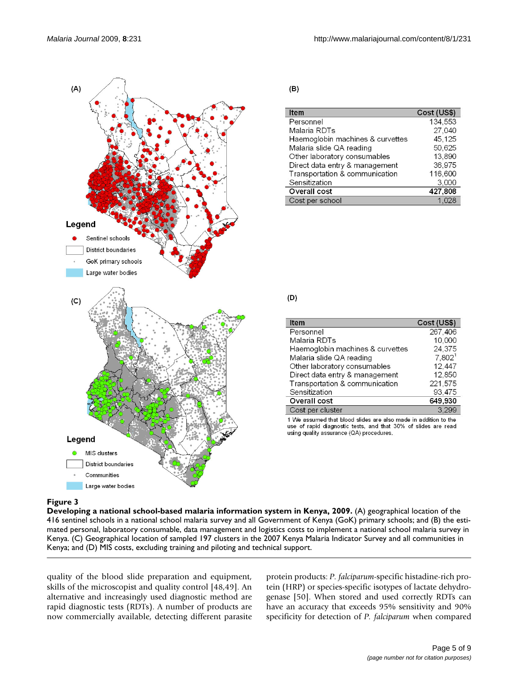

 $(B)$ 

| Item                             | Cost (US\$) |
|----------------------------------|-------------|
| Personnel                        | 134.553     |
| Malaria RDTs                     | 27.040      |
| Haemoglobin machines & curvettes | 45.125      |
| Malaria slide QA reading         | 50,625      |
| Other laboratory consumables     | 13.890      |
| Direct data entry & management   | 36,975      |
| Transportation & communication   | 116,600     |
| Sensitization                    | 3.000       |
| Overall cost                     | 427,808     |
| Cost per school                  |             |

 $(D)$ 

| Cost (US\$)        |
|--------------------|
| 267,406            |
| 10,000             |
| 24.375             |
| 7.802 <sup>1</sup> |
| 12.447             |
| 12,850             |
| 221,575            |
| 93,475             |
| 649,930            |
| 3.299              |
|                    |

1 We assumed that blood slides are also made in addition to the use of rapid diagnostic tests, and that 30% of slides are read using quality assurance (QA) procedures.

### **Figure 3** Production of the contract of the contract of the contract of the contract of the contract of the contract of the contract of the contract of the contract of the contract of the contract of the contract of the c

**Developing a national school-based malaria information system in Kenya, 2009.** (A) geographical location of the 416 sentinel schools in a national school malaria survey and all Government of Kenya (GoK) primary schools; and (B) the estimated personal, laboratory consumable, data management and logistics costs to implement a national school malaria survey in Kenya. (C) Geographical location of sampled 197 clusters in the 2007 Kenya Malaria Indicator Survey and all communities in Kenya; and (D) MIS costs, excluding training and piloting and technical support.

quality of the blood slide preparation and equipment, skills of the microscopist and quality control [48,49]. An alternative and increasingly used diagnostic method are rapid diagnostic tests (RDTs). A number of products are now commercially available, detecting different parasite protein products: *P. falciparum*-specific histadine-rich protein (HRP) or species-specific isotypes of lactate dehydrogenase [50]. When stored and used correctly RDTs can have an accuracy that exceeds 95% sensitivity and 90% specificity for detection of *P. falciparum* when compared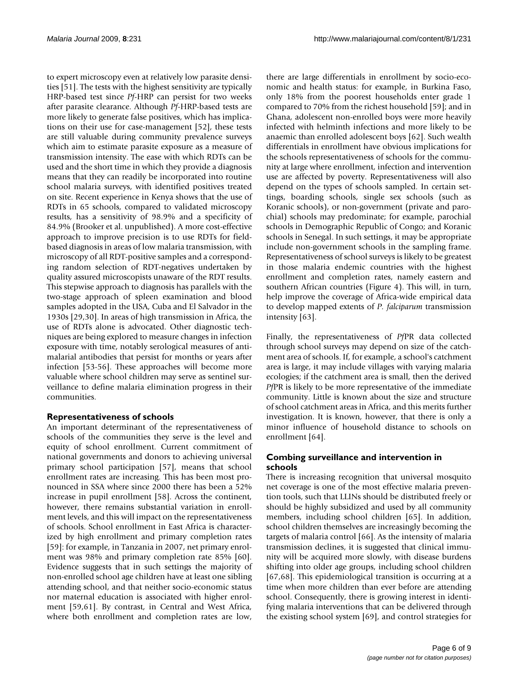to expert microscopy even at relatively low parasite densities [51]. The tests with the highest sensitivity are typically HRP-based test since *Pf*-HRP can persist for two weeks after parasite clearance. Although *Pf*-HRP-based tests are more likely to generate false positives, which has implications on their use for case-management [[52](#page-8-0)], these tests are still valuable during community prevalence surveys which aim to estimate parasite exposure as a measure of transmission intensity. The ease with which RDTs can be used and the short time in which they provide a diagnosis means that they can readily be incorporated into routine school malaria surveys, with identified positives treated on site. Recent experience in Kenya shows that the use of RDTs in 65 schools, compared to validated microscopy results, has a sensitivity of 98.9% and a specificity of 84.9% (Brooker et al. unpublished). A more cost-effective approach to improve precision is to use RDTs for fieldbased diagnosis in areas of low malaria transmission, with microscopy of all RDT-positive samples and a corresponding random selection of RDT-negatives undertaken by quality assured microscopists unaware of the RDT results. This stepwise approach to diagnosis has parallels with the two-stage approach of spleen examination and blood samples adopted in the USA, Cuba and El Salvador in the 1930s [29,30]. In areas of high transmission in Africa, the use of RDTs alone is advocated. Other diagnostic techniques are being explored to measure changes in infection exposure with time, notably serological measures of antimalarial antibodies that persist for months or years after infection [53-56]. These approaches will become more valuable where school children may serve as sentinel surveillance to define malaria elimination progress in their communities.

## **Representativeness of schools**

An important determinant of the representativeness of schools of the communities they serve is the level and equity of school enrollment. Current commitment of national governments and donors to achieving universal primary school participation [57], means that school enrollment rates are increasing. This has been most pronounced in SSA where since 2000 there has been a 52% increase in pupil enrollment [58]. Across the continent, however, there remains substantial variation in enrollment levels, and this will impact on the representativeness of schools. School enrollment in East Africa is characterized by high enrollment and primary completion rates [59]: for example, in Tanzania in 2007, net primary enrolment was 98% and primary completion rate 85% [60]. Evidence suggests that in such settings the majority of non-enrolled school age children have at least one sibling attending school, and that neither socio-economic status nor maternal education is associated with higher enrolment [59,61]. By contrast, in Central and West Africa, where both enrollment and completion rates are low,

there are large differentials in enrollment by socio-economic and health status: for example, in Burkina Faso, only 18% from the poorest households enter grade 1 compared to 70% from the richest household [59]; and in Ghana, adolescent non-enrolled boys were more heavily infected with helminth infections and more likely to be anaemic than enrolled adolescent boys [62]. Such wealth differentials in enrollment have obvious implications for the schools representativeness of schools for the community at large where enrollment, infection and intervention use are affected by poverty. Representativeness will also depend on the types of schools sampled. In certain settings, boarding schools, single sex schools (such as Koranic schools), or non-government (private and parochial) schools may predominate; for example, parochial schools in Demographic Republic of Congo; and Koranic schools in Senegal. In such settings, it may be appropriate include non-government schools in the sampling frame. Representativeness of school surveys is likely to be greatest in those malaria endemic countries with the highest enrollment and completion rates, namely eastern and southern African countries (Figure 4). This will, in turn, help improve the coverage of Africa-wide empirical data to develop mapped extents of *P. falciparum* transmission intensity [63].

Finally, the representativeness of *Pf*PR data collected through school surveys may depend on size of the catchment area of schools. If, for example, a school's catchment area is large, it may include villages with varying malaria ecologies; if the catchment area is small, then the derived *Pf*PR is likely to be more representative of the immediate community. Little is known about the size and structure of school catchment areas in Africa, and this merits further investigation. It is known, however, that there is only a minor influence of household distance to schools on enrollment [64].

## **Combing surveillance and intervention in schools**

There is increasing recognition that universal mosquito net coverage is one of the most effective malaria prevention tools, such that LLINs should be distributed freely or should be highly subsidized and used by all community members, including school children [65]. In addition, school children themselves are increasingly becoming the targets of malaria control [66]. As the intensity of malaria transmission declines, it is suggested that clinical immunity will be acquired more slowly, with disease burdens shifting into older age groups, including school children [67,68]. This epidemiological transition is occurring at a time when more children than ever before are attending school. Consequently, there is growing interest in identifying malaria interventions that can be delivered through the existing school system [69], and control strategies for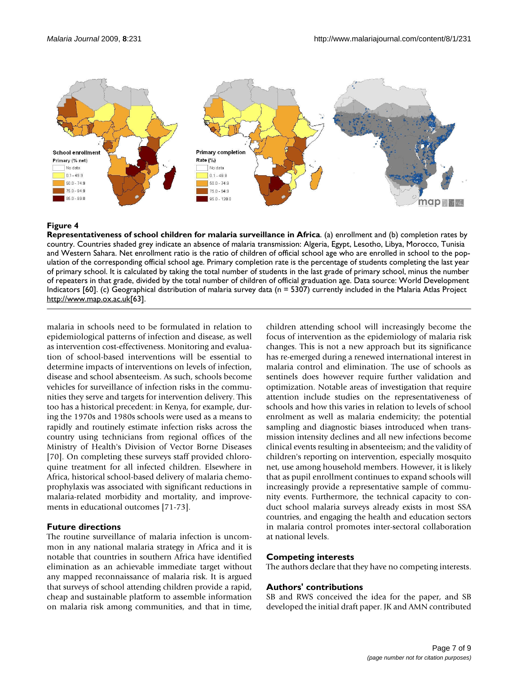

## **Figure 4**

**Representativeness of school children for malaria surveillance in Africa**. (a) enrollment and (b) completion rates by country. Countries shaded grey indicate an absence of malaria transmission: Algeria, Egypt, Lesotho, Libya, Morocco, Tunisia and Western Sahara. Net enrollment ratio is the ratio of children of official school age who are enrolled in school to the population of the corresponding official school age. Primary completion rate is the percentage of students completing the last year of primary school. It is calculated by taking the total number of students in the last grade of primary school, minus the number of repeaters in that grade, divided by the total number of children of official graduation age. Data source: World Development Indicators [60]. (c) Geographical distribution of malaria survey data (n = 5307) currently included in the Malaria Atlas Project <http://www.map.ox.ac.uk>[63].

malaria in schools need to be formulated in relation to epidemiological patterns of infection and disease, as well as intervention cost-effectiveness. Monitoring and evaluation of school-based interventions will be essential to determine impacts of interventions on levels of infection, disease and school absenteeism. As such, schools become vehicles for surveillance of infection risks in the communities they serve and targets for intervention delivery. This too has a historical precedent: in Kenya, for example, during the 1970s and 1980s schools were used as a means to rapidly and routinely estimate infection risks across the country using technicians from regional offices of the Ministry of Health's Division of Vector Borne Diseases [[70](#page-8-1)]. On completing these surveys staff provided chloroquine treatment for all infected children. Elsewhere in Africa, historical school-based delivery of malaria chemoprophylaxis was associated with significant reductions in malaria-related morbidity and mortality, and improvements in educational outcomes [71-73].

### **Future directions**

The routine surveillance of malaria infection is uncommon in any national malaria strategy in Africa and it is notable that countries in southern Africa have identified elimination as an achievable immediate target without any mapped reconnaissance of malaria risk. It is argued that surveys of school attending children provide a rapid, cheap and sustainable platform to assemble information on malaria risk among communities, and that in time, children attending school will increasingly become the focus of intervention as the epidemiology of malaria risk changes. This is not a new approach but its significance has re-emerged during a renewed international interest in malaria control and elimination. The use of schools as sentinels does however require further validation and optimization. Notable areas of investigation that require attention include studies on the representativeness of schools and how this varies in relation to levels of school enrolment as well as malaria endemicity; the potential sampling and diagnostic biases introduced when transmission intensity declines and all new infections become clinical events resulting in absenteeism; and the validity of children's reporting on intervention, especially mosquito net, use among household members. However, it is likely that as pupil enrollment continues to expand schools will increasingly provide a representative sample of community events. Furthermore, the technical capacity to conduct school malaria surveys already exists in most SSA countries, and engaging the health and education sectors in malaria control promotes inter-sectoral collaboration at national levels.

### **Competing interests**

The authors declare that they have no competing interests.

### **Authors' contributions**

SB and RWS conceived the idea for the paper, and SB developed the initial draft paper. JK and AMN contributed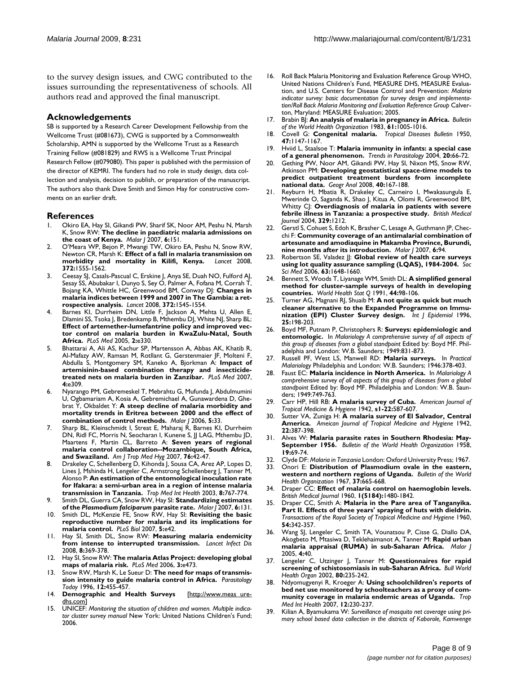to the survey design issues, and CWG contributed to the issues surrounding the representativeness of schools. All authors read and approved the final manuscript.

#### **Acknowledgements**

SB is supported by a Research Career Development Fellowship from the Wellcome Trust (#081673), CWG is supported by a Commonwealth Scholarship, AMN is supported by the Wellcome Trust as a Research Training Fellow (#081829) and RWS is a Wellcome Trust Principal Research Fellow (#079080). This paper is published with the permission of the director of KEMRI. The funders had no role in study design, data collection and analysis, decision to publish, or preparation of the manuscript. The authors also thank Dave Smith and Simon Hay for constructive comments on an earlier draft.

#### **References**

- 1. Okiro EA, Hay SI, Gikandi PW, Sharif SK, Noor AM, Peshu N, Marsh K, Snow RW: **[The decline in paediatric malaria admissions on](http://www.ncbi.nlm.nih.gov/entrez/query.fcgi?cmd=Retrieve&db=PubMed&dopt=Abstract&list_uids=18005422) [the coast of Kenya.](http://www.ncbi.nlm.nih.gov/entrez/query.fcgi?cmd=Retrieve&db=PubMed&dopt=Abstract&list_uids=18005422)** *Malar J* 2007, **6:**151.
- 2. O'Meara WP, Bejon P, Mwangi TW, Okiro EA, Peshu N, Snow RW, Newton CR, Marsh K: **[Effect of a fall in malaria transmission on](http://www.ncbi.nlm.nih.gov/entrez/query.fcgi?cmd=Retrieve&db=PubMed&dopt=Abstract&list_uids=18984188) [morbidity and mortality in Kilifi, Kenya.](http://www.ncbi.nlm.nih.gov/entrez/query.fcgi?cmd=Retrieve&db=PubMed&dopt=Abstract&list_uids=18984188)** *Lancet* 2008, **372:**1555-1562.
- 3. Ceesay SJ, Casals-Pascual C, Erskine J, Anya SE, Duah NO, Fulford AJ, Sesay SS, Abubakar I, Dunyo S, Sey O, Palmer A, Fofana M, Corrah T, Bojang KA, Whittle HC, Greenwood BM, Conway DJ: **[Changes in](http://www.ncbi.nlm.nih.gov/entrez/query.fcgi?cmd=Retrieve&db=PubMed&dopt=Abstract&list_uids=18984187) [malaria indices between 1999 and 2007 in The Gambia: a ret](http://www.ncbi.nlm.nih.gov/entrez/query.fcgi?cmd=Retrieve&db=PubMed&dopt=Abstract&list_uids=18984187)[rospective analysis.](http://www.ncbi.nlm.nih.gov/entrez/query.fcgi?cmd=Retrieve&db=PubMed&dopt=Abstract&list_uids=18984187)** *Lancet* 2008, **372:**1545-1554.
- Barnes KI, Durrheim DN, Little F, Jackson A, Mehta U, Allen E, Dlamini SS, Tsoka J, Bredenkamp B, Mthembu DJ, White NJ, Sharp BL: **[Effect of artemether-lumefantrine policy and improved vec](http://www.ncbi.nlm.nih.gov/entrez/query.fcgi?cmd=Retrieve&db=PubMed&dopt=Abstract&list_uids=16187798)tor control on malaria burden in KwaZulu-Natal, South [Africa.](http://www.ncbi.nlm.nih.gov/entrez/query.fcgi?cmd=Retrieve&db=PubMed&dopt=Abstract&list_uids=16187798)** *PLoS Med* 2005, **2:**e330.
- 5. Bhattarai A, Ali AS, Kachur SP, Martensson A, Abbas AK, Khatib R, Al-Mafazy AW, Ramsan M, Rotllant G, Gerstenmaier JF, Molteni F, Abdulla S, Montgomery SM, Kaneko A, Bjorkman A: **[Impact of](http://www.ncbi.nlm.nih.gov/entrez/query.fcgi?cmd=Retrieve&db=PubMed&dopt=Abstract&list_uids=17988171) [artemisinin-based combination therapy and insecticide](http://www.ncbi.nlm.nih.gov/entrez/query.fcgi?cmd=Retrieve&db=PubMed&dopt=Abstract&list_uids=17988171)[treated nets on malaria burden in Zanzibar.](http://www.ncbi.nlm.nih.gov/entrez/query.fcgi?cmd=Retrieve&db=PubMed&dopt=Abstract&list_uids=17988171)** *PLoS Med* 2007, **4:**e309.
- 6. Nyarango PM, Gebremeskel T, Mebrahtu G, Mufunda J, Abdulmumini U, Ogbamariam A, Kosia A, Gebremichael A, Gunawardena D, Ghebrat Y, Okbaldet Y: **[A steep decline of malaria morbidity and](http://www.ncbi.nlm.nih.gov/entrez/query.fcgi?cmd=Retrieve&db=PubMed&dopt=Abstract&list_uids=16635265) [mortality trends in Eritrea between 2000 and the effect of](http://www.ncbi.nlm.nih.gov/entrez/query.fcgi?cmd=Retrieve&db=PubMed&dopt=Abstract&list_uids=16635265) [combination of control methods.](http://www.ncbi.nlm.nih.gov/entrez/query.fcgi?cmd=Retrieve&db=PubMed&dopt=Abstract&list_uids=16635265)** *Malar J* 2006, **5:**33.
- 7. Sharp BL, Kleinschmidt I, Streat E, Maharaj R, Barnes KI, Durrheim DN, Ridl FC, Morris N, Seocharan I, Kunene S, JJ LAG, Mthembu JD, Maartens F, Martin CL, Barreto A: **[Seven years of regional](http://www.ncbi.nlm.nih.gov/entrez/query.fcgi?cmd=Retrieve&db=PubMed&dopt=Abstract&list_uids=17255227) [malaria control collaboration--Mozambique, South Africa,](http://www.ncbi.nlm.nih.gov/entrez/query.fcgi?cmd=Retrieve&db=PubMed&dopt=Abstract&list_uids=17255227) [and Swaziland.](http://www.ncbi.nlm.nih.gov/entrez/query.fcgi?cmd=Retrieve&db=PubMed&dopt=Abstract&list_uids=17255227)** *Am J Trop Med Hyg* 2007, **76:**42-47.
- 8. Drakeley C, Schellenberg D, Kihonda J, Sousa CA, Arez AP, Lopes D, Lines J, Mshinda H, Lengeler C, Armstrong Schellenberg J, Tanner M, Alonso P: **[An estimation of the entomological inoculation rate](http://www.ncbi.nlm.nih.gov/entrez/query.fcgi?cmd=Retrieve&db=PubMed&dopt=Abstract&list_uids=12950662) [for Ifakara: a semi-urban area in a region of intense malaria](http://www.ncbi.nlm.nih.gov/entrez/query.fcgi?cmd=Retrieve&db=PubMed&dopt=Abstract&list_uids=12950662) [transmission in Tanzania.](http://www.ncbi.nlm.nih.gov/entrez/query.fcgi?cmd=Retrieve&db=PubMed&dopt=Abstract&list_uids=12950662)** *Trop Med Int Health* 2003, **8:**767-774.
- 9. Smith DL, Guerra CA, Snow RW, Hay SI: **Standardizing estimates of the** *Plasmodium falciparum* **[parasite rate.](http://www.ncbi.nlm.nih.gov/entrez/query.fcgi?cmd=Retrieve&db=PubMed&dopt=Abstract&list_uids=17894879)** *Malar J* 2007, **6:**131.
- 10. Smith DL, McKenzie FE, Snow RW, Hay SI: **[Revisiting the basic](http://www.ncbi.nlm.nih.gov/entrez/query.fcgi?cmd=Retrieve&db=PubMed&dopt=Abstract&list_uids=17311470) [reproductive number for malaria and its implications for](http://www.ncbi.nlm.nih.gov/entrez/query.fcgi?cmd=Retrieve&db=PubMed&dopt=Abstract&list_uids=17311470) [malaria control.](http://www.ncbi.nlm.nih.gov/entrez/query.fcgi?cmd=Retrieve&db=PubMed&dopt=Abstract&list_uids=17311470)** *PLoS Biol* 2007, **5:**e42.
- 11. Hay SI, Smith DL, Snow RW: **[Measuring malaria endemicity](http://www.ncbi.nlm.nih.gov/entrez/query.fcgi?cmd=Retrieve&db=PubMed&dopt=Abstract&list_uids=18387849) [from intense to interrupted transmission.](http://www.ncbi.nlm.nih.gov/entrez/query.fcgi?cmd=Retrieve&db=PubMed&dopt=Abstract&list_uids=18387849)** *Lancet Infect Dis* 2008, **8:**369-378.
- 12. Hay SI, Snow RW: **[The malaria Atlas Project: developing global](http://www.ncbi.nlm.nih.gov/entrez/query.fcgi?cmd=Retrieve&db=PubMed&dopt=Abstract&list_uids=17147467) [maps of malaria risk.](http://www.ncbi.nlm.nih.gov/entrez/query.fcgi?cmd=Retrieve&db=PubMed&dopt=Abstract&list_uids=17147467)** *PLoS Med* 2006, **3:**e473.
- 13. Snow RW, Marsh K, Le Sueur D: **The need for maps of transmission intensity to guide malaria control in Africa.** *Parasitology Today* 1996, **12:**455-457.
- 14. **Demographic and Health Surveys** [[http://www.meas ure](http://www.measuredhs.com)[dhs.com](http://www.measuredhs.com)]
- UNICEF: Monitoring the situation of children and women. Multiple indica*tor cluster survey manual* New York: United Nations Children's Fund; 2006.
- 16. Roll Back Malaria Monitoring and Evaluation Reference Group WHO, United Nations Children's Fund, MEASURE DHS, MEASURE Evaluation, and U.S. Centers for Disease Control and Prevention: *Malaria indicator survey: basic documentation for survey design and implementation/Roll Back Malaria Monitoring and Evaluation Reference Group* Calverton, Maryland: MEASURE Evaluation; 2005.
- 17. Brabin BJ: **[An analysis of malaria in pregnancy in Africa.](http://www.ncbi.nlm.nih.gov/entrez/query.fcgi?cmd=Retrieve&db=PubMed&dopt=Abstract&list_uids=6370484)** *Bulletin of the World Health Organization* 1983, **61:**1005-1016.
- 18. Covell G: **[Congenital malaria.](http://www.ncbi.nlm.nih.gov/entrez/query.fcgi?cmd=Retrieve&db=PubMed&dopt=Abstract&list_uids=14817831)** *Tropical Diseases Bulletin* 1950, **47:**1147-1167.
- 19. Hviid L, Staalsoe T: **[Malaria immunity in infants: a special case](http://www.ncbi.nlm.nih.gov/entrez/query.fcgi?cmd=Retrieve&db=PubMed&dopt=Abstract&list_uids=14747019) [of a general phenomenon.](http://www.ncbi.nlm.nih.gov/entrez/query.fcgi?cmd=Retrieve&db=PubMed&dopt=Abstract&list_uids=14747019)** *Trends in Parasitology* 2004, **20:**66-72.
- 20. Gething PW, Noor AM, Gikandi PW, Hay SI, Nixon MS, Snow RW, Atkinson PM: **[Developing geostatistical space-time models to](http://www.ncbi.nlm.nih.gov/entrez/query.fcgi?cmd=Retrieve&db=PubMed&dopt=Abstract&list_uids=19325928) [predict outpatient treatment burdens from incomplete](http://www.ncbi.nlm.nih.gov/entrez/query.fcgi?cmd=Retrieve&db=PubMed&dopt=Abstract&list_uids=19325928) [national data.](http://www.ncbi.nlm.nih.gov/entrez/query.fcgi?cmd=Retrieve&db=PubMed&dopt=Abstract&list_uids=19325928)** *Geogr Anal* 2008, **40:**167-188.
- Reyburn H, Mbatia R, Drakeley C, Carneiro I, Mwakasungula E, Mwerinde O, Saganda K, Shao J, Kitua A, Olomi R, Greenwood BM, Whitty CJ: **[Overdiagnosis of malaria in patients with severe](http://www.ncbi.nlm.nih.gov/entrez/query.fcgi?cmd=Retrieve&db=PubMed&dopt=Abstract&list_uids=15542534) [febrile illness in Tanzania: a prospective study.](http://www.ncbi.nlm.nih.gov/entrez/query.fcgi?cmd=Retrieve&db=PubMed&dopt=Abstract&list_uids=15542534)** *British Medical Journal* 2004, **329:**1212.
- 22. Gerstl S, Cohuet S, Edoh K, Brasher C, Lesage A, Guthmann JP, Checchi F: **[Community coverage of an antimalarial combination of](http://www.ncbi.nlm.nih.gov/entrez/query.fcgi?cmd=Retrieve&db=PubMed&dopt=Abstract&list_uids=17640357) [artesunate and amodiaquine in Makamba Province, Burundi,](http://www.ncbi.nlm.nih.gov/entrez/query.fcgi?cmd=Retrieve&db=PubMed&dopt=Abstract&list_uids=17640357) [nine months after its introduction.](http://www.ncbi.nlm.nih.gov/entrez/query.fcgi?cmd=Retrieve&db=PubMed&dopt=Abstract&list_uids=17640357)** *Malar J* 2007, **6:**94.
- Robertson SE, Valadez JJ: [Global review of health care surveys](http://www.ncbi.nlm.nih.gov/entrez/query.fcgi?cmd=Retrieve&db=PubMed&dopt=Abstract&list_uids=16764978) **[using lot quality assurance sampling \(LQAS\), 1984-2004.](http://www.ncbi.nlm.nih.gov/entrez/query.fcgi?cmd=Retrieve&db=PubMed&dopt=Abstract&list_uids=16764978)** *Soc Sci Med* 2006, **63:**1648-1660.
- 24. Bennett S, Woods T, Liyanage WM, Smith DL: **[A simplified general](http://www.ncbi.nlm.nih.gov/entrez/query.fcgi?cmd=Retrieve&db=PubMed&dopt=Abstract&list_uids=1949887) [method for cluster-sample surveys of health in developing](http://www.ncbi.nlm.nih.gov/entrez/query.fcgi?cmd=Retrieve&db=PubMed&dopt=Abstract&list_uids=1949887) [countries.](http://www.ncbi.nlm.nih.gov/entrez/query.fcgi?cmd=Retrieve&db=PubMed&dopt=Abstract&list_uids=1949887)** *World Health Stat Q* 1991, **44:**98-106.
- 25. Turner AG, Magnani RJ, Shuaib M: **[A not quite as quick but much](http://www.ncbi.nlm.nih.gov/entrez/query.fcgi?cmd=Retrieve&db=PubMed&dopt=Abstract&list_uids=8666490) [cleaner alternative to the Expanded Programme on Immu](http://www.ncbi.nlm.nih.gov/entrez/query.fcgi?cmd=Retrieve&db=PubMed&dopt=Abstract&list_uids=8666490)[nization \(EPI\) Cluster Survey design.](http://www.ncbi.nlm.nih.gov/entrez/query.fcgi?cmd=Retrieve&db=PubMed&dopt=Abstract&list_uids=8666490)** *Int J Epidemiol* 1996, **25:**198-203.
- 26. Boyd MF, Putnam P, Christophers R: **Surveys: epidemiologic and entomologic.** In *Malariology A comprehensive survey of all aspects of this group of diseases from a global standpoint* Edited by: Boyd MF. Philadelphia and London: W.B. Saunders; 1949:831-873.
- 27. Russell PF, West LS, Manwell RD: **Malaria surveys.** In *Practical Malariology* Philadelphia and London: W.B. Saunders; 1946:378-403.
- 28. Faust EC: **Malaria incidence in North America.** In *Malariology A comprehensive survey of all aspects of this group of diseases from a global standpoint* Edited by: Boyd MF. Philadelphia and London: W.B. Saunders; 1949:749-763.
- 29. Carr HP, Hill RB: **A malaria survey of Cuba.** *American Journal of Tropical Medicine & Hygiene* 1942, **s1-22:**587-607.
- 30. Sutter VA, Zuniga H: **A malaria survey of El Salvador, Central America.** *Ameican Journal of Tropical Medicine and Hygiene* 1942, **22:**387-398.
- 31. Alves W: **[Malaria parasite rates in Southern Rhodesia: May-](http://www.ncbi.nlm.nih.gov/entrez/query.fcgi?cmd=Retrieve&db=PubMed&dopt=Abstract&list_uids=13585061)[September 1956.](http://www.ncbi.nlm.nih.gov/entrez/query.fcgi?cmd=Retrieve&db=PubMed&dopt=Abstract&list_uids=13585061)** *Bulletin of the World Health Organization* 1958, **19:**69-74.
- 32. Clyde DF: *Malaria in Tanzania* London: Oxford University Press; 1967.
- 33. Onori E: **[Distribution of Plasmodium ovale in the eastern,](http://www.ncbi.nlm.nih.gov/entrez/query.fcgi?cmd=Retrieve&db=PubMed&dopt=Abstract&list_uids=5301742) [western and northern regions of Uganda.](http://www.ncbi.nlm.nih.gov/entrez/query.fcgi?cmd=Retrieve&db=PubMed&dopt=Abstract&list_uids=5301742)** *Bulletin of the World Health Organization* 1967, **37:**665-668.
- 34. Draper CC: **[Effect of malaria control on haemoglobin levels.](http://www.ncbi.nlm.nih.gov/entrez/query.fcgi?cmd=Retrieve&db=PubMed&dopt=Abstract&list_uids=13818002)** *British Medical Journal* 1960, **1(5184):**1480-1842.
- 35. Draper CC, Smith A: **[Malaria in the Pare area of Tanganyika.](http://www.ncbi.nlm.nih.gov/entrez/query.fcgi?cmd=Retrieve&db=PubMed&dopt=Abstract&list_uids=13724279) [Part II. Effects of three years' spraying of huts with dieldrin.](http://www.ncbi.nlm.nih.gov/entrez/query.fcgi?cmd=Retrieve&db=PubMed&dopt=Abstract&list_uids=13724279)** *Transactions of the Royal Society of Tropical Medicine and Hygiene* 1960, **54:**342-357.
- 36. Wang SJ, Lengeler C, Smith TA, Vounatsou P, Cisse G, Diallo DA, Akogbeto M, Mtasiwa D, Teklehaimanot A, Tanner M: **[Rapid urban](http://www.ncbi.nlm.nih.gov/entrez/query.fcgi?cmd=Retrieve&db=PubMed&dopt=Abstract&list_uids=16153298) [malaria appraisal \(RUMA\) in sub-Saharan Africa.](http://www.ncbi.nlm.nih.gov/entrez/query.fcgi?cmd=Retrieve&db=PubMed&dopt=Abstract&list_uids=16153298)** *Malar J* 2005, **4:**40.
- 37. Lengeler C, Utzinger J, Tanner M: **[Questionnaires for rapid](http://www.ncbi.nlm.nih.gov/entrez/query.fcgi?cmd=Retrieve&db=PubMed&dopt=Abstract&list_uids=11984610) [screening of schistosomiasis in sub-Saharan Africa.](http://www.ncbi.nlm.nih.gov/entrez/query.fcgi?cmd=Retrieve&db=PubMed&dopt=Abstract&list_uids=11984610)** *Bull World Health Organ* 2002, **80:**235-242.
- 38. Ndyomugyenyi R, Kroeger A: **[Using schoolchildren's reports of](http://www.ncbi.nlm.nih.gov/entrez/query.fcgi?cmd=Retrieve&db=PubMed&dopt=Abstract&list_uids=17300630) [bed net use monitored by schoolteachers as a proxy of com](http://www.ncbi.nlm.nih.gov/entrez/query.fcgi?cmd=Retrieve&db=PubMed&dopt=Abstract&list_uids=17300630)[munity coverage in malaria endemic areas of Uganda.](http://www.ncbi.nlm.nih.gov/entrez/query.fcgi?cmd=Retrieve&db=PubMed&dopt=Abstract&list_uids=17300630)** *Trop Med Int Health* 2007, **12:**230-237.
- 39. Kilian A, Byamukama W: *Surveillance of mosquito net coverage using primary school based data collection in the districts of Kaborole, Kamwenge*